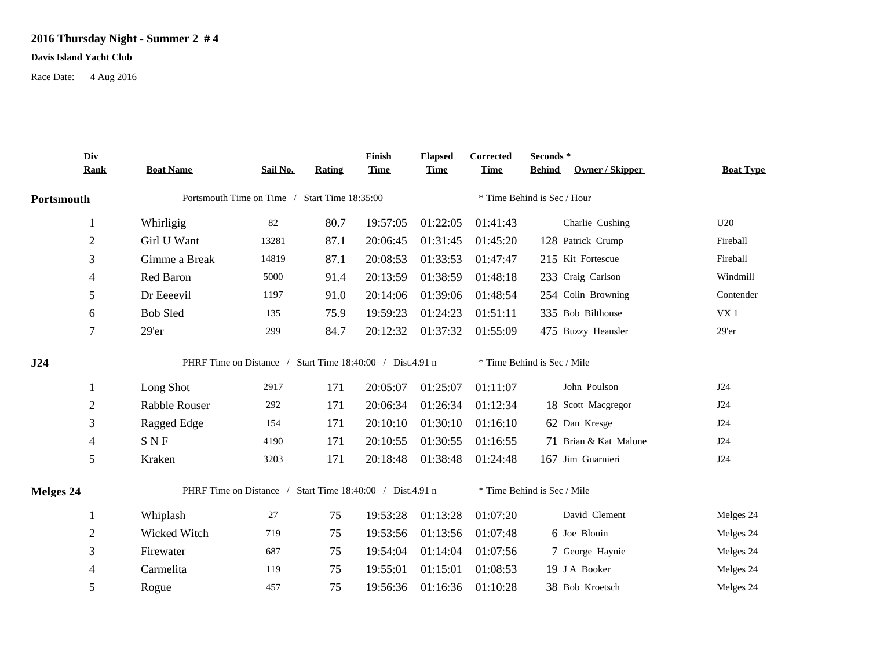## **2016 Thursday Night - Summer 2 # 4**

## **Davis Island Yacht Club**

Race Date: 4 Aug 2016

|            | Div            |                                                           |          |        | Finish      | <b>Elapsed</b> | Corrected                   | Seconds *                        |                  |  |  |
|------------|----------------|-----------------------------------------------------------|----------|--------|-------------|----------------|-----------------------------|----------------------------------|------------------|--|--|
|            | <b>Rank</b>    | <b>Boat Name</b>                                          | Sail No. | Rating | <b>Time</b> | <b>Time</b>    | <b>Time</b>                 | Owner / Skipper<br><b>Behind</b> | <b>Boat Type</b> |  |  |
| Portsmouth |                | Portsmouth Time on Time /<br>Start Time 18:35:00          |          |        |             |                | * Time Behind is Sec / Hour |                                  |                  |  |  |
|            | 1              | Whirligig                                                 | 82       | 80.7   | 19:57:05    | 01:22:05       | 01:41:43                    | Charlie Cushing                  | U20              |  |  |
|            | $\overline{2}$ | Girl U Want                                               | 13281    | 87.1   | 20:06:45    | 01:31:45       | 01:45:20                    | 128 Patrick Crump                | Fireball         |  |  |
|            | 3              | Gimme a Break                                             | 14819    | 87.1   | 20:08:53    | 01:33:53       | 01:47:47                    | 215 Kit Fortescue                | Fireball         |  |  |
|            | 4              | Red Baron                                                 | 5000     | 91.4   | 20:13:59    | 01:38:59       | 01:48:18                    | 233 Craig Carlson                | Windmill         |  |  |
|            | 5              | Dr Eeeevil                                                | 1197     | 91.0   | 20:14:06    | 01:39:06       | 01:48:54                    | 254 Colin Browning               | Contender        |  |  |
|            | 6              | <b>Bob Sled</b>                                           | 135      | 75.9   | 19:59:23    | 01:24:23       | 01:51:11                    | 335 Bob Bilthouse                | VX <sub>1</sub>  |  |  |
|            | 7              | 29'er                                                     | 299      | 84.7   | 20:12:32    | 01:37:32       | 01:55:09                    | 475 Buzzy Heausler               | 29'er            |  |  |
| J24        |                | PHRF Time on Distance / Start Time 18:40:00 / Dist.4.91 n |          |        |             |                | * Time Behind is Sec / Mile |                                  |                  |  |  |
|            | 1              | Long Shot                                                 | 2917     | 171    | 20:05:07    | 01:25:07       | 01:11:07                    | John Poulson                     | J24              |  |  |
|            | $\mathbf{2}$   | Rabble Rouser                                             | 292      | 171    | 20:06:34    | 01:26:34       | 01:12:34                    | 18 Scott Macgregor               | J24              |  |  |
|            | 3              | Ragged Edge                                               | 154      | 171    | 20:10:10    | 01:30:10       | 01:16:10                    | 62 Dan Kresge                    | J24              |  |  |
|            | 4              | <b>SNF</b>                                                | 4190     | 171    | 20:10:55    | 01:30:55       | 01:16:55                    | 71 Brian & Kat Malone            | J24              |  |  |
|            | 5              | Kraken                                                    | 3203     | 171    | 20:18:48    | 01:38:48       | 01:24:48                    | 167 Jim Guarnieri                | J24              |  |  |
| Melges 24  |                | PHRF Time on Distance / Start Time 18:40:00 / Dist.4.91 n |          |        |             |                |                             | * Time Behind is Sec / Mile      |                  |  |  |
|            | 1              | Whiplash                                                  | $27\,$   | 75     | 19:53:28    | 01:13:28       | 01:07:20                    | David Clement                    | Melges 24        |  |  |
|            | $\overline{2}$ | Wicked Witch                                              | 719      | 75     | 19:53:56    | 01:13:56       | 01:07:48                    | 6 Joe Blouin                     | Melges 24        |  |  |
|            | 3              | Firewater                                                 | 687      | 75     | 19:54:04    | 01:14:04       | 01:07:56                    | 7 George Haynie                  | Melges 24        |  |  |
|            | 4              | Carmelita                                                 | 119      | 75     | 19:55:01    | 01:15:01       | 01:08:53                    | 19 J A Booker                    | Melges 24        |  |  |
|            | 5              | Rogue                                                     | 457      | 75     | 19:56:36    | 01:16:36       | 01:10:28                    | 38 Bob Kroetsch                  | Melges 24        |  |  |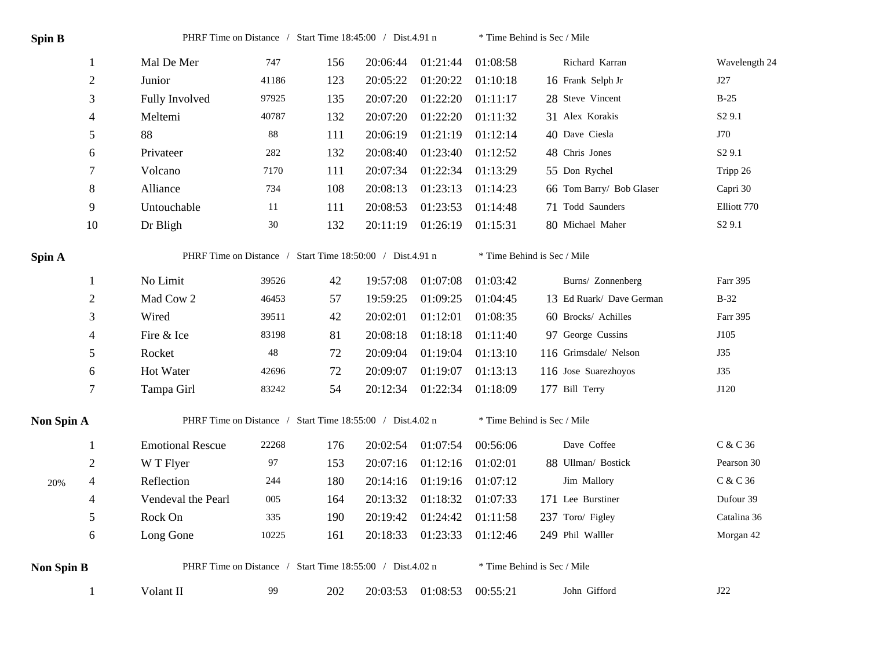| Spin B            |                | PHRF Time on Distance / Start Time 18:45:00 / Dist.4.91 n |        |     | * Time Behind is Sec / Mile |          |                             |                          |                    |  |
|-------------------|----------------|-----------------------------------------------------------|--------|-----|-----------------------------|----------|-----------------------------|--------------------------|--------------------|--|
|                   | 1              | Mal De Mer                                                | 747    | 156 | 20:06:44                    | 01:21:44 | 01:08:58                    | Richard Karran           | Wavelength 24      |  |
|                   | $\sqrt{2}$     | Junior                                                    | 41186  | 123 | 20:05:22                    | 01:20:22 | 01:10:18                    | 16 Frank Selph Jr        | J27                |  |
|                   | 3              | Fully Involved                                            | 97925  | 135 | 20:07:20                    | 01:22:20 | 01:11:17                    | 28 Steve Vincent         | $B-25$             |  |
|                   | $\overline{4}$ | Meltemi                                                   | 40787  | 132 | 20:07:20                    | 01:22:20 | 01:11:32                    | 31 Alex Korakis          | S <sub>2</sub> 9.1 |  |
|                   | 5              | 88                                                        | $88\,$ | 111 | 20:06:19                    | 01:21:19 | 01:12:14                    | 40 Dave Ciesla           | J70                |  |
|                   | 6              | Privateer                                                 | 282    | 132 | 20:08:40                    | 01:23:40 | 01:12:52                    | 48 Chris Jones           | S <sub>2</sub> 9.1 |  |
|                   | 7              | Volcano                                                   | 7170   | 111 | 20:07:34                    | 01:22:34 | 01:13:29                    | 55 Don Rychel            | Tripp 26           |  |
|                   | $\,8\,$        | Alliance                                                  | 734    | 108 | 20:08:13                    | 01:23:13 | 01:14:23                    | 66 Tom Barry/ Bob Glaser | Capri 30           |  |
|                   | 9              | Untouchable                                               | 11     | 111 | 20:08:53                    | 01:23:53 | 01:14:48                    | 71 Todd Saunders         | Elliott 770        |  |
|                   | 10             | Dr Bligh                                                  | $30\,$ | 132 | 20:11:19                    | 01:26:19 | 01:15:31                    | 80 Michael Maher         | S <sub>2</sub> 9.1 |  |
| Spin A            |                | PHRF Time on Distance / Start Time 18:50:00 / Dist.4.91 n |        |     |                             |          | * Time Behind is Sec / Mile |                          |                    |  |
|                   | 1              | No Limit                                                  | 39526  | 42  | 19:57:08                    | 01:07:08 | 01:03:42                    | Burns/ Zonnenberg        | Farr 395           |  |
|                   | $\sqrt{2}$     | Mad Cow 2                                                 | 46453  | 57  | 19:59:25                    | 01:09:25 | 01:04:45                    | 13 Ed Ruark/ Dave German | $B-32$             |  |
|                   | 3              | Wired                                                     | 39511  | 42  | 20:02:01                    | 01:12:01 | 01:08:35                    | 60 Brocks/ Achilles      | Farr 395           |  |
|                   | $\overline{4}$ | Fire & Ice                                                | 83198  | 81  | 20:08:18                    | 01:18:18 | 01:11:40                    | 97 George Cussins        | J105               |  |
|                   | 5              | Rocket                                                    | $48\,$ | 72  | 20:09:04                    | 01:19:04 | 01:13:10                    | 116 Grimsdale/ Nelson    | <b>J35</b>         |  |
|                   | $\sqrt{6}$     | Hot Water                                                 | 42696  | 72  | 20:09:07                    | 01:19:07 | 01:13:13                    | 116 Jose Suarezhoyos     | J35                |  |
|                   | $\tau$         | Tampa Girl                                                | 83242  | 54  | 20:12:34                    | 01:22:34 | 01:18:09                    | 177 Bill Terry           | J120               |  |
| Non Spin A        |                | PHRF Time on Distance / Start Time 18:55:00 / Dist.4.02 n |        |     |                             |          | * Time Behind is Sec / Mile |                          |                    |  |
|                   | $\mathbf{1}$   | <b>Emotional Rescue</b>                                   | 22268  | 176 | 20:02:54                    | 01:07:54 | 00:56:06                    | Dave Coffee              | C & C 36           |  |
|                   | $\overline{c}$ | W T Flyer                                                 | 97     | 153 | 20:07:16                    | 01:12:16 | 01:02:01                    | 88 Ullman/ Bostick       | Pearson 30         |  |
| 20%               | $\overline{4}$ | Reflection                                                | 244    | 180 | 20:14:16                    | 01:19:16 | 01:07:12                    | Jim Mallory              | C & C 36           |  |
|                   | $\overline{4}$ | Vendeval the Pearl                                        | 005    | 164 | 20:13:32                    | 01:18:32 | 01:07:33                    | 171 Lee Burstiner        | Dufour 39          |  |
|                   | 5              | Rock On                                                   | 335    | 190 | 20:19:42                    | 01:24:42 | 01:11:58                    | 237 Toro/ Figley         | Catalina 36        |  |
|                   | 6              | Long Gone                                                 | 10225  | 161 | 20:18:33                    | 01:23:33 | 01:12:46                    | 249 Phil Walller         | Morgan 42          |  |
| <b>Non Spin B</b> |                | PHRF Time on Distance / Start Time 18:55:00 / Dist.4.02 n |        |     |                             |          | * Time Behind is Sec / Mile |                          |                    |  |
|                   | $\mathbf{1}$   | Volant II                                                 | 99     | 202 | 20:03:53                    | 01:08:53 | 00:55:21                    | John Gifford             | J22                |  |